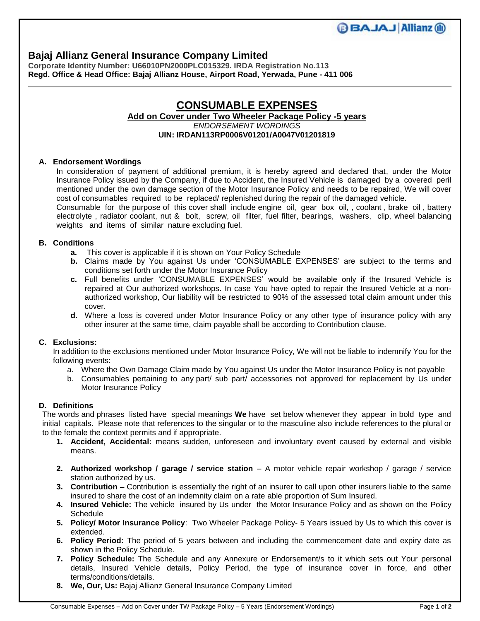# **Bajaj Allianz General Insurance Company Limited**

**Corporate Identity Number: U66010PN2000PLC015329. IRDA Registration No.113 Regd. Office & Head Office: Bajaj Allianz House, Airport Road, Yerwada, Pune - 411 006**

## **CONSUMABLE EXPENSES Add on Cover under Two Wheeler Package Policy -5 years**  *ENDORSEMENT WORDINGS*

### **UIN: IRDAN113RP0006V01201/A0047V01201819**

### **A. Endorsement Wordings**

In consideration of payment of additional premium, it is hereby agreed and declared that, under the Motor Insurance Policy issued by the Company, if due to Accident, the Insured Vehicle is damaged by a covered peril mentioned under the own damage section of the Motor Insurance Policy and needs to be repaired, We will cover cost of consumables required to be replaced/ replenished during the repair of the damaged vehicle.

Consumable for the purpose of this cover shall include engine oil, gear box oil, , coolant , brake oil , battery electrolyte , radiator coolant, nut & bolt, screw, oil filter, fuel filter, bearings, washers, clip, wheel balancing weights and items of similar nature excluding fuel.

### **B. Conditions**

- **a.** This cover is applicable if it is shown on Your Policy Schedule
- **b.** Claims made by You against Us under 'CONSUMABLE EXPENSES' are subject to the terms and conditions set forth under the Motor Insurance Policy
- **c.** Full benefits under 'CONSUMABLE EXPENSES' would be available only if the Insured Vehicle is repaired at Our authorized workshops. In case You have opted to repair the Insured Vehicle at a nonauthorized workshop, Our liability will be restricted to 90% of the assessed total claim amount under this cover.
- **d.** Where a loss is covered under Motor Insurance Policy or any other type of insurance policy with any other insurer at the same time, claim payable shall be according to Contribution clause.

## **C. Exclusions:**

In addition to the exclusions mentioned under Motor Insurance Policy, We will not be liable to indemnify You for the following events:

- a. Where the Own Damage Claim made by You against Us under the Motor Insurance Policy is not payable
- b. Consumables pertaining to any part/ sub part/ accessories not approved for replacement by Us under Motor Insurance Policy

## **D. Definitions**

The words and phrases listed have special meanings **We** have set below whenever they appear in bold type and initial capitals. Please note that references to the singular or to the masculine also include references to the plural or to the female the context permits and if appropriate.

- **1. Accident, Accidental:** means sudden, unforeseen and involuntary event caused by external and visible means.
- **2. Authorized workshop / garage / service station** A motor vehicle repair workshop / garage / service station authorized by us.
- **3. Contribution –** Contribution is essentially the right of an insurer to call upon other insurers liable to the same insured to share the cost of an indemnity claim on a rate able proportion of Sum Insured.
- **4. Insured Vehicle:** The vehicle insured by Us under the Motor Insurance Policy and as shown on the Policy **Schedule**
- **5. Policy/ Motor Insurance Policy**: Two Wheeler Package Policy- 5 Years issued by Us to which this cover is extended.
- **6. Policy Period:** The period of 5 years between and including the commencement date and expiry date as shown in the Policy Schedule.
- **7. Policy Schedule:** The Schedule and any Annexure or Endorsement/s to it which sets out Your personal details, Insured Vehicle details, Policy Period, the type of insurance cover in force, and other terms/conditions/details.
- **8. We, Our, Us:** Bajaj Allianz General Insurance Company Limited